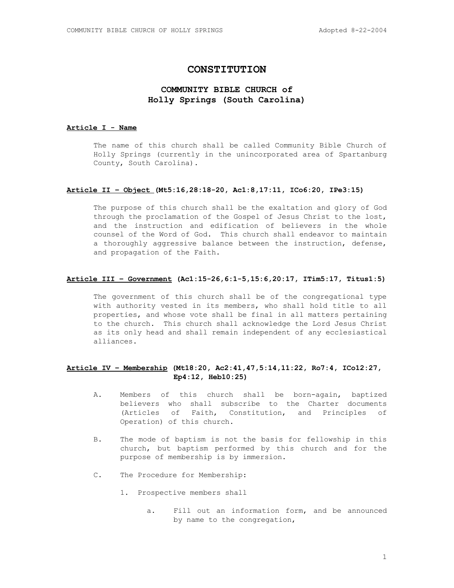# **CONSTITUTION**

# **COMMUNITY BIBLE CHURCH of Holly Springs (South Carolina)**

## **Article I - Name**

The name of this church shall be called Community Bible Church of Holly Springs (currently in the unincorporated area of Spartanburg County, South Carolina).

#### **Article II – Object (Mt5:16,28:18-20, Ac1:8,17:11, ICo6:20, IPe3:15)**

The purpose of this church shall be the exaltation and glory of God through the proclamation of the Gospel of Jesus Christ to the lost, and the instruction and edification of believers in the whole counsel of the Word of God. This church shall endeavor to maintain a thoroughly aggressive balance between the instruction, defense, and propagation of the Faith.

# **Article III – Government (Ac1:15-26,6:1-5,15:6,20:17, ITim5:17, Titus1:5)**

The government of this church shall be of the congregational type with authority vested in its members, who shall hold title to all properties, and whose vote shall be final in all matters pertaining to the church. This church shall acknowledge the Lord Jesus Christ as its only head and shall remain independent of any ecclesiastical alliances.

## **Article IV – Membership (Mt18:20, Ac2:41,47,5:14,11:22, Ro7:4, ICo12:27, Ep4:12, Heb10:25)**

- A. Members of this church shall be born-again, baptized believers who shall subscribe to the Charter documents (Articles of Faith, Constitution, and Principles of Operation) of this church.
- B. The mode of baptism is not the basis for fellowship in this church, but baptism performed by this church and for the purpose of membership is by immersion.
- C. The Procedure for Membership:
	- 1. Prospective members shall
		- a. Fill out an information form, and be announced by name to the congregation,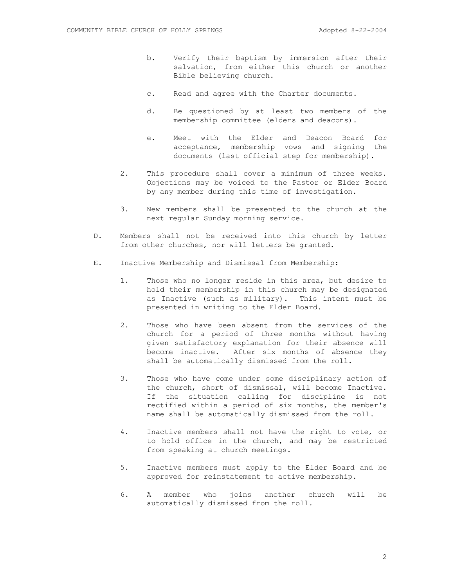- b. Verify their baptism by immersion after their salvation, from either this church or another Bible believing church.
- c. Read and agree with the Charter documents.
- d. Be questioned by at least two members of the membership committee (elders and deacons).
- e. Meet with the Elder and Deacon Board for acceptance, membership vows and signing the documents (last official step for membership).
- 2. This procedure shall cover a minimum of three weeks. Objections may be voiced to the Pastor or Elder Board by any member during this time of investigation.
- 3. New members shall be presented to the church at the next regular Sunday morning service.
- D. Members shall not be received into this church by letter from other churches, nor will letters be granted.
- E. Inactive Membership and Dismissal from Membership:
	- 1. Those who no longer reside in this area, but desire to hold their membership in this church may be designated as Inactive (such as military). This intent must be presented in writing to the Elder Board.
	- 2. Those who have been absent from the services of the church for a period of three months without having given satisfactory explanation for their absence will become inactive. After six months of absence they shall be automatically dismissed from the roll.
	- 3. Those who have come under some disciplinary action of the church, short of dismissal, will become Inactive. If the situation calling for discipline is not rectified within a period of six months, the member's name shall be automatically dismissed from the roll.
	- 4. Inactive members shall not have the right to vote, or to hold office in the church, and may be restricted from speaking at church meetings.
	- 5. Inactive members must apply to the Elder Board and be approved for reinstatement to active membership.
	- 6. A member who joins another church will be automatically dismissed from the roll.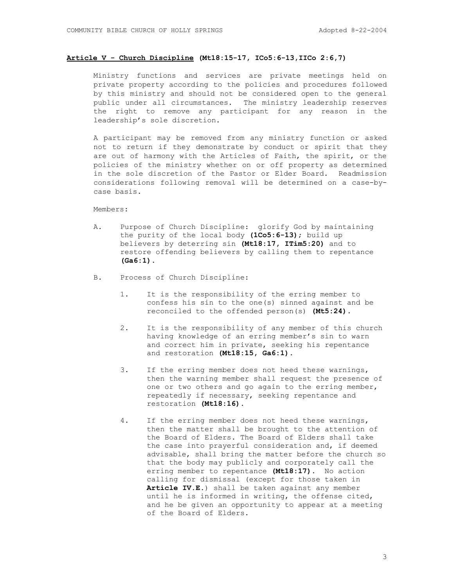## **Article V - Church Discipline (Mt18:15-17, ICo5:6-13,IICo 2:6,7)**

Ministry functions and services are private meetings held on private property according to the policies and procedures followed by this ministry and should not be considered open to the general public under all circumstances. The ministry leadership reserves the right to remove any participant for any reason in the leadership's sole discretion.

A participant may be removed from any ministry function or asked not to return if they demonstrate by conduct or spirit that they are out of harmony with the Articles of Faith, the spirit, or the policies of the ministry whether on or off property as determined in the sole discretion of the Pastor or Elder Board. Readmission considerations following removal will be determined on a case-bycase basis.

Members:

- A. Purpose of Church Discipline: glorify God by maintaining the purity of the local body **(1Co5:6-13)**; build up believers by deterring sin **(Mt18:17, ITim5:20)** and to restore offending believers by calling them to repentance **(Ga6:1).**
- B. Process of Church Discipline:
	- 1. It is the responsibility of the erring member to confess his sin to the one(s) sinned against and be reconciled to the offended person(s) **(Mt5:24)**.
	- 2. It is the responsibility of any member of this church having knowledge of an erring member's sin to warn and correct him in private, seeking his repentance and restoration **(Mt18:15, Ga6:1)**.
	- 3. If the erring member does not heed these warnings, then the warning member shall request the presence of one or two others and go again to the erring member, repeatedly if necessary, seeking repentance and restoration **(Mt18:16)**.
	- 4. If the erring member does not heed these warnings, then the matter shall be brought to the attention of the Board of Elders. The Board of Elders shall take the case into prayerful consideration and, if deemed advisable, shall bring the matter before the church so that the body may publicly and corporately call the erring member to repentance **(Mt18:17)**. No action calling for dismissal (except for those taken in **Article IV.E.**) shall be taken against any member until he is informed in writing, the offense cited, and he be given an opportunity to appear at a meeting of the Board of Elders.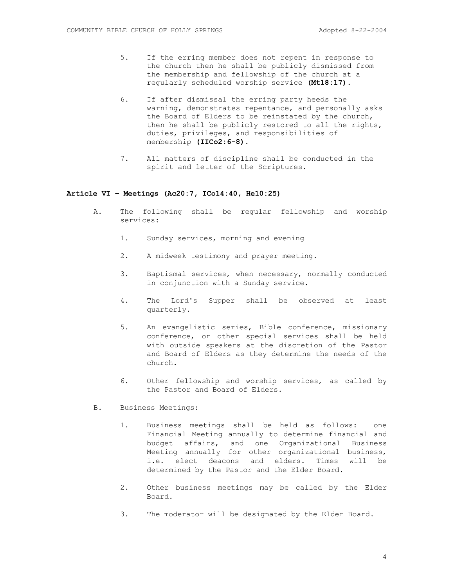- 5. If the erring member does not repent in response to the church then he shall be publicly dismissed from the membership and fellowship of the church at a regularly scheduled worship service **(Mt18:17)**.
- 6. If after dismissal the erring party heeds the warning, demonstrates repentance, and personally asks the Board of Elders to be reinstated by the church, then he shall be publicly restored to all the rights, duties, privileges, and responsibilities of membership **(IICo2:6-8)**.
- 7. All matters of discipline shall be conducted in the spirit and letter of the Scriptures.

### **Article VI – Meetings (Ac20:7, ICo14:40, He10:25)**

- A. The following shall be regular fellowship and worship services:
	- 1. Sunday services, morning and evening
	- 2. A midweek testimony and prayer meeting.
	- 3. Baptismal services, when necessary, normally conducted in conjunction with a Sunday service.
	- 4. The Lord's Supper shall be observed at least quarterly.
	- 5. An evangelistic series, Bible conference, missionary conference, or other special services shall be held with outside speakers at the discretion of the Pastor and Board of Elders as they determine the needs of the church.
	- 6. Other fellowship and worship services, as called by the Pastor and Board of Elders.
- B. Business Meetings:
	- 1. Business meetings shall be held as follows: one Financial Meeting annually to determine financial and budget affairs, and one Organizational Business Meeting annually for other organizational business, i.e. elect deacons and elders. Times will be determined by the Pastor and the Elder Board.
	- 2. Other business meetings may be called by the Elder Board.
	- 3. The moderator will be designated by the Elder Board.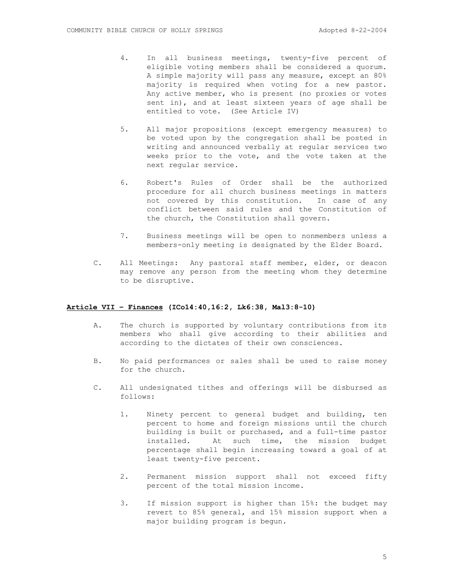- 4. In all business meetings, twenty-five percent of eligible voting members shall be considered a quorum. A simple majority will pass any measure, except an 80% majority is required when voting for a new pastor. Any active member, who is present (no proxies or votes sent in), and at least sixteen years of age shall be entitled to vote. (See Article IV)
- 5. All major propositions (except emergency measures) to be voted upon by the congregation shall be posted in writing and announced verbally at regular services two weeks prior to the vote, and the vote taken at the next regular service.
- 6. Robert's Rules of Order shall be the authorized procedure for all church business meetings in matters not covered by this constitution. In case of any conflict between said rules and the Constitution of the church, the Constitution shall govern.
- 7. Business meetings will be open to nonmembers unless a members-only meeting is designated by the Elder Board.
- C. All Meetings: Any pastoral staff member, elder, or deacon may remove any person from the meeting whom they determine to be disruptive.

### **Article VII – Finances (ICo14:40,16:2, Lk6:38, Mal3:8-10)**

- A. The church is supported by voluntary contributions from its members who shall give according to their abilities and according to the dictates of their own consciences.
- B. No paid performances or sales shall be used to raise money for the church.
- C. All undesignated tithes and offerings will be disbursed as follows:
	- 1. Ninety percent to general budget and building, ten percent to home and foreign missions until the church building is built or purchased, and a full-time pastor installed. At such time, the mission budget percentage shall begin increasing toward a goal of at least twenty-five percent.
	- 2. Permanent mission support shall not exceed fifty percent of the total mission income.
	- 3. If mission support is higher than 15%: the budget may revert to 85% general, and 15% mission support when a major building program is begun.

5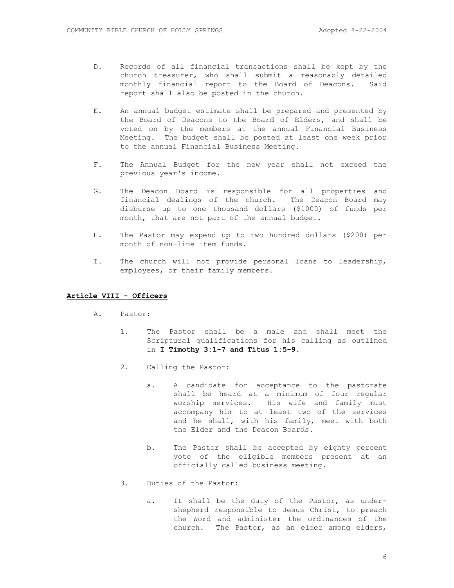- D. Records of all financial transactions shall be kept by the church treasurer, who shall submit a reasonably detailed monthly financial report to the Board of Deacons. Said report shall also be posted in the church.
- E. An annual budget estimate shall be prepared and presented by the Board of Deacons to the Board of Elders, and shall be voted on by the members at the annual Financial Business Meeting. The budget shall be posted at least one week prior to the annual Financial Business Meeting.
- F. The Annual Budget for the new year shall not exceed the previous year's income.
- G. The Deacon Board is responsible for all properties and financial dealings of the church. The Deacon Board may disburse up to one thousand dollars (\$1000) of funds per month, that are not part of the annual budget.
- H. The Pastor may expend up to two hundred dollars (\$200) per month of non-line item funds.
- I. The church will not provide personal loans to leadership, employees, or their family members.

## **Article VIII - Officers**

- A. Pastor:
	- 1. The Pastor shall be a male and shall meet the Scriptural qualifications for his calling as outlined in **I Timothy 3:1-7 and Titus 1:5-9**.
	- 2. Calling the Pastor:
		- a. A candidate for acceptance to the pastorate shall be heard at a minimum of four regular worship services. His wife and family must accompany him to at least two of the services and he shall, with his family, meet with both the Elder and the Deacon Boards.
		- b. The Pastor shall be accepted by eighty percent vote of the eligible members present at an officially called business meeting.
	- 3. Duties of the Pastor:
		- a. It shall be the duty of the Pastor, as undershepherd responsible to Jesus Christ, to preach the Word and administer the ordinances of the church. The Pastor, as an elder among elders,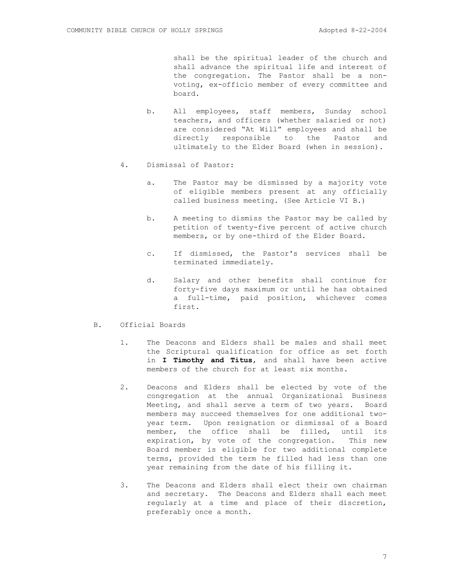shall be the spiritual leader of the church and shall advance the spiritual life and interest of the congregation. The Pastor shall be a nonvoting, ex-officio member of every committee and board.

- b. All employees, staff members, Sunday school teachers, and officers (whether salaried or not) are considered "At Will" employees and shall be directly responsible to the Pastor and ultimately to the Elder Board (when in session).
- 4. Dismissal of Pastor:
	- a. The Pastor may be dismissed by a majority vote of eligible members present at any officially called business meeting. (See Article VI B.)
	- b. A meeting to dismiss the Pastor may be called by petition of twenty-five percent of active church members, or by one-third of the Elder Board.
	- c. If dismissed, the Pastor's services shall be terminated immediately.
	- d. Salary and other benefits shall continue for forty-five days maximum or until he has obtained a full-time, paid position, whichever comes first.
- B. Official Boards
	- 1. The Deacons and Elders shall be males and shall meet the Scriptural qualification for office as set forth in **I Timothy and Titus**, and shall have been active members of the church for at least six months.
	- 2. Deacons and Elders shall be elected by vote of the congregation at the annual Organizational Business Meeting, and shall serve a term of two years. Board members may succeed themselves for one additional twoyear term. Upon resignation or dismissal of a Board member, the office shall be filled, until its expiration, by vote of the congregation. This new Board member is eligible for two additional complete terms, provided the term he filled had less than one year remaining from the date of his filling it.
	- 3. The Deacons and Elders shall elect their own chairman and secretary. The Deacons and Elders shall each meet regularly at a time and place of their discretion, preferably once a month.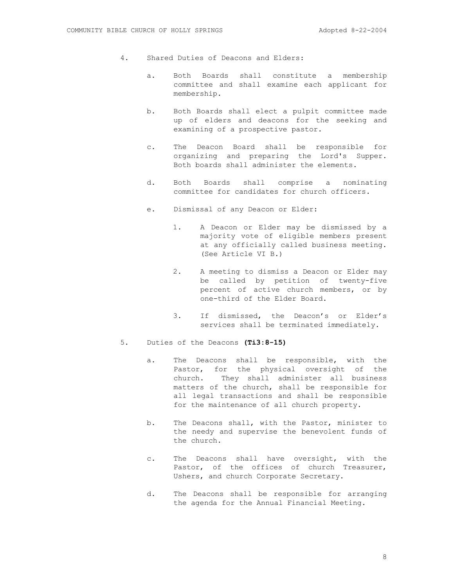- 4. Shared Duties of Deacons and Elders:
	- a. Both Boards shall constitute a membership committee and shall examine each applicant for membership.
	- b. Both Boards shall elect a pulpit committee made up of elders and deacons for the seeking and examining of a prospective pastor.
	- c. The Deacon Board shall be responsible for organizing and preparing the Lord's Supper. Both boards shall administer the elements.
	- d. Both Boards shall comprise a nominating committee for candidates for church officers.
	- e. Dismissal of any Deacon or Elder:
		- 1. A Deacon or Elder may be dismissed by a majority vote of eligible members present at any officially called business meeting. (See Article VI B.)
		- 2. A meeting to dismiss a Deacon or Elder may be called by petition of twenty-five percent of active church members, or by one-third of the Elder Board.
		- 3. If dismissed, the Deacon's or Elder's services shall be terminated immediately.
- 5. Duties of the Deacons **(Ti3:8-15)**
	- a. The Deacons shall be responsible, with the Pastor, for the physical oversight of the church. They shall administer all business matters of the church, shall be responsible for all legal transactions and shall be responsible for the maintenance of all church property.
	- b. The Deacons shall, with the Pastor, minister to the needy and supervise the benevolent funds of the church.
	- c. The Deacons shall have oversight, with the Pastor, of the offices of church Treasurer, Ushers, and church Corporate Secretary.
	- d. The Deacons shall be responsible for arranging the agenda for the Annual Financial Meeting.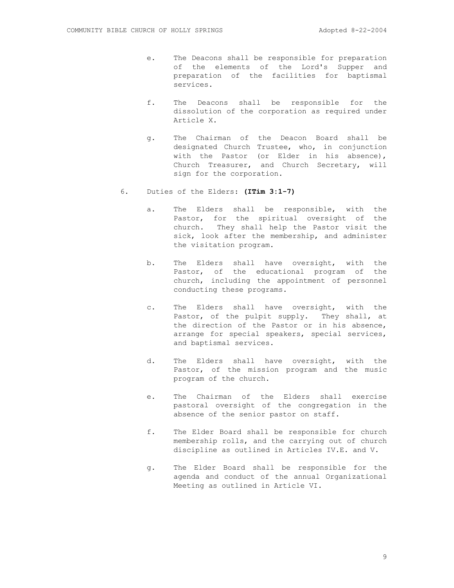- e. The Deacons shall be responsible for preparation of the elements of the Lord's Supper and preparation of the facilities for baptismal services.
- f. The Deacons shall be responsible for the dissolution of the corporation as required under Article X.
- g. The Chairman of the Deacon Board shall be designated Church Trustee, who, in conjunction with the Pastor (or Elder in his absence), Church Treasurer, and Church Secretary, will sign for the corporation.
- 6. Duties of the Elders: **(ITim 3:1-7)**
	- a. The Elders shall be responsible, with the Pastor, for the spiritual oversight of the church. They shall help the Pastor visit the sick, look after the membership, and administer the visitation program.
	- b. The Elders shall have oversight, with the Pastor, of the educational program of the church, including the appointment of personnel conducting these programs.
	- c. The Elders shall have oversight, with the Pastor, of the pulpit supply. They shall, at the direction of the Pastor or in his absence, arrange for special speakers, special services, and baptismal services.
	- d. The Elders shall have oversight, with the Pastor, of the mission program and the music program of the church.
	- e. The Chairman of the Elders shall exercise pastoral oversight of the congregation in the absence of the senior pastor on staff.
	- f. The Elder Board shall be responsible for church membership rolls, and the carrying out of church discipline as outlined in Articles IV.E. and V.
	- g. The Elder Board shall be responsible for the agenda and conduct of the annual Organizational Meeting as outlined in Article VI.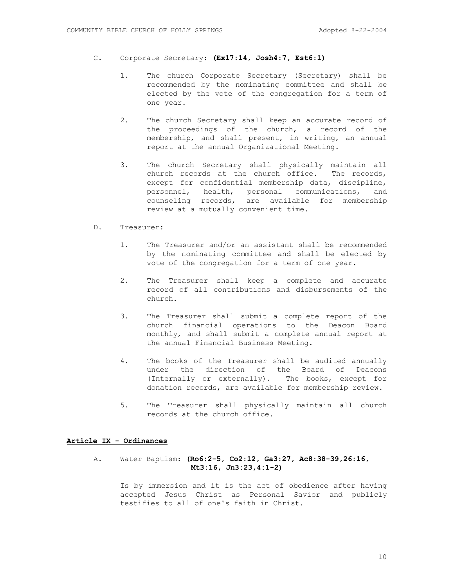- C. Corporate Secretary: **(Ex17:14, Josh4:7, Est6:1)**
	- 1. The church Corporate Secretary (Secretary) shall be recommended by the nominating committee and shall be elected by the vote of the congregation for a term of one year.
	- 2. The church Secretary shall keep an accurate record of the proceedings of the church, a record of the membership, and shall present, in writing, an annual report at the annual Organizational Meeting.
	- 3. The church Secretary shall physically maintain all church records at the church office. The records, except for confidential membership data, discipline, personnel, health, personal communications, and counseling records, are available for membership review at a mutually convenient time.
- D. Treasurer:
	- 1. The Treasurer and/or an assistant shall be recommended by the nominating committee and shall be elected by vote of the congregation for a term of one year.
	- 2. The Treasurer shall keep a complete and accurate record of all contributions and disbursements of the church.
	- 3. The Treasurer shall submit a complete report of the church financial operations to the Deacon Board monthly, and shall submit a complete annual report at the annual Financial Business Meeting.
	- 4. The books of the Treasurer shall be audited annually under the direction of the Board of Deacons (Internally or externally). The books, except for donation records, are available for membership review.
	- 5. The Treasurer shall physically maintain all church records at the church office.

#### **Article IX - Ordinances**

## A. Water Baptism: **(Ro6:2-5, Co2:12, Ga3:27, Ac8:38-39,26:16, Mt3:16, Jn3:23,4:1-2)**

Is by immersion and it is the act of obedience after having accepted Jesus Christ as Personal Savior and publicly testifies to all of one's faith in Christ.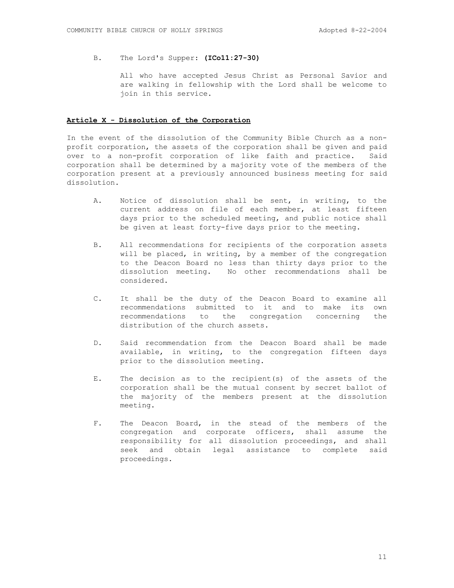B. The Lord's Supper: **(ICo11:27-30)**

All who have accepted Jesus Christ as Personal Savior and are walking in fellowship with the Lord shall be welcome to join in this service.

#### **Article X - Dissolution of the Corporation**

In the event of the dissolution of the Community Bible Church as a nonprofit corporation, the assets of the corporation shall be given and paid over to a non-profit corporation of like faith and practice. Said corporation shall be determined by a majority vote of the members of the corporation present at a previously announced business meeting for said dissolution.

- A. Notice of dissolution shall be sent, in writing, to the current address on file of each member, at least fifteen days prior to the scheduled meeting, and public notice shall be given at least forty-five days prior to the meeting.
- B. All recommendations for recipients of the corporation assets will be placed, in writing, by a member of the congregation to the Deacon Board no less than thirty days prior to the dissolution meeting. No other recommendations shall be considered.
- C. It shall be the duty of the Deacon Board to examine all recommendations submitted to it and to make its own recommendations to the congregation concerning the distribution of the church assets.
- D. Said recommendation from the Deacon Board shall be made available, in writing, to the congregation fifteen days prior to the dissolution meeting.
- E. The decision as to the recipient(s) of the assets of the corporation shall be the mutual consent by secret ballot of the majority of the members present at the dissolution meeting.
- F. The Deacon Board, in the stead of the members of the congregation and corporate officers, shall assume the responsibility for all dissolution proceedings, and shall seek and obtain legal assistance to complete said proceedings.